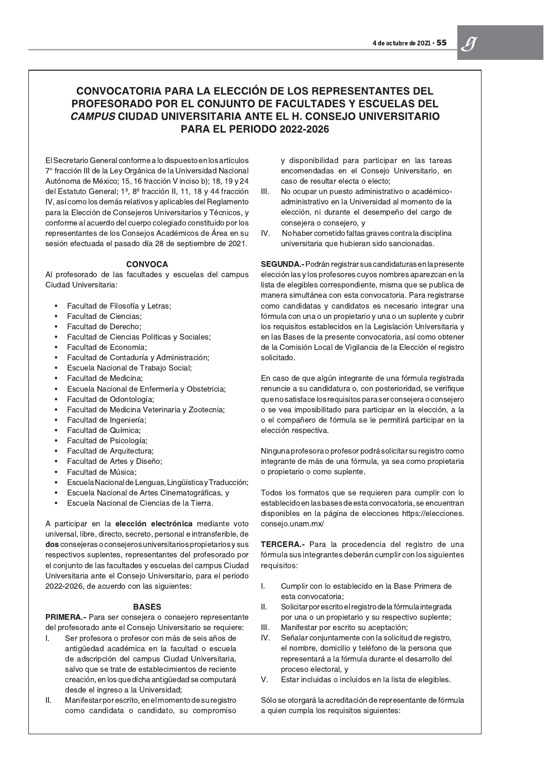## CONVOCATORIA PARA LA ELECCIÓN DE LOS REPRESENTANTES DEL PROFESORADO POR EL CONJUNTO DE FACULTADES Y ESCUELAS DEL *CAMPUS* CIUDAD UNIVERSITARIA ANTE EL H. CONSEJO UNIVERSITARIO **PARA EL PERIODO 2022-2026**

El Secretario General conforme a lo dispuesto en los artículos 7° fracción III de la Ley Orgánica de la Universidad Nacional Autónoma de México; 15, 16 fracción V inciso b); 18, 19 y 24 del Estatuto General; 1º, 8º fracción II, 11, 18 y 44 fracción IV, así como los demás relativos y aplicables del Reglamento para la Elección de Consejeros Universitarios y Técnicos, y conforme al acuerdo del cuerpo colegiado constituido por los representantes de los Consejos Académicos de Área en su sesión efectuada el pasado día 28 de septiembre de 2021.

## **CONVOCA**

Al profesorado de las facultades y escuelas del campus Ciudad Universitaria:

- Facultad de Filosofía y Letras;  $\bullet$
- $\bullet$ **Facultad de Ciencias;**
- Facultad de Derecho;  $\bullet$
- Facultad de Ciencias Políticas y Sociales;  $\bullet$
- $\bullet$ Facultad de Economía;
- Facultad de Contaduría y Administración;  $\bullet$
- Escuela Nacional de Trabajo Social;  $\bullet$
- $\bullet$ Facultad de Medicina;
- Escuela Nacional de Enfermería y Obstetricia;  $\bullet$
- $\bullet$ Facultad de Odontología;
- $\bullet$ Facultad de Medicina Veterinaria y Zootecnia;
- Facultad de Ingeniería;  $\bullet$
- Facultad de Química;  $\bullet$
- $\bullet$ Facultad de Psicología;
- Facultad de Arquitectura;  $\bullet$
- Facultad de Artes y Diseño;  $\bullet$
- $\bullet$ Facultad de Música;
- Escuela Nacional de Lenguas, Lingüística y Traducción;  $\bullet$
- Escuela Nacional de Artes Cinematográficas, y  $\bullet$
- Escuela Nacional de Ciencias de la Tierra.  $\bullet$

A participar en la elección electrónica mediante voto universal, libre, directo, secreto, personal e intransferible, de dos consejeras o consejeros universitarios propietarios y sus respectivos suplentes, representantes del profesorado por el conjunto de las facultades y escuelas del campus Ciudad Universitaria ante el Consejo Universitario, para el periodo 2022-2026, de acuerdo con las siguientes:

y disponibilidad para participar en las tareas encomendadas en el Consejo Universitario, en caso de resultar electa o electo;

- III. No ocupar un puesto administrativo o académicoadministrativo en la Universidad al momento de la elección, ni durante el desempeño del cargo de consejera o consejero, y
- IV. No haber cometido faltas graves contra la disciplina universitaria que hubieran sido sancionadas.

SEGUNDA.- Podrán registrar sus candidaturas en la presente elección las y los profesores cuyos nombres aparezcan en la lista de elegibles correspondiente, misma que se publica de manera simultánea con esta convocatoria. Para registrarse como candidatas y candidatos es necesario integrar una fórmula con una o un propietario y una o un suplente y cubrir los requisitos establecidos en la Legislación Universitaria y en las Bases de la presente convocatoria, así como obtener de la Comisión Local de Vigilancia de la Elección el registro solicitado.

En caso de que algún integrante de una fórmula registrada renuncie a su candidatura o, con posterioridad, se verifique que no satisface los requisitos para ser consejera o consejero o se vea imposibilitado para participar en la elección, a la o el compañero de fórmula se le permitirá participar en la elección respectiva.

Ninguna profesora o profesor podrá solicitar su registro como integrante de más de una fórmula, ya sea como propietaria o propietario o como suplente.

Todos los formatos que se requieren para cumplir con lo establecido en las bases de esta convocatoria, se encuentran disponibles en la página de elecciones https://elecciones. consejo.unam.mx/

TERCERA.- Para la procedencia del registro de una fórmula sus integrantes deberán cumplir con los siguientes requisitos:

L.

## **BASES**

PRIMERA.- Para ser consejera o consejero representante del profesorado ante el Consejo Universitario se requiere:

- Τ. Ser profesora o profesor con más de seis años de antigüedad académica en la facultad o escuela de adscripción del campus Ciudad Universitaria, salvo que se trate de establecimientos de reciente creación, en los que dicha antigüedad se computará desde el ingreso a la Universidad;
- Ш. Manifestar por escrito, en el momento de su registro como candidata o candidato, su compromiso
- Cumplir con lo establecido en la Base Primera de esta convocatoria;
- Ш. Solicitar por escrito el registro de la fórmula integrada por una o un propietario y su respectivo suplente; Manifestar por escrito su aceptación; III.
- IV. Señalar conjuntamente con la solicitud de registro, el nombre, domicilio y teléfono de la persona que representará a la fórmula durante el desarrollo del proceso electoral, y
- V. Estar incluidas o incluidos en la lista de elegibles.

Sólo se otorgará la acreditación de representante de fórmula a quien cumpla los requisitos siguientes: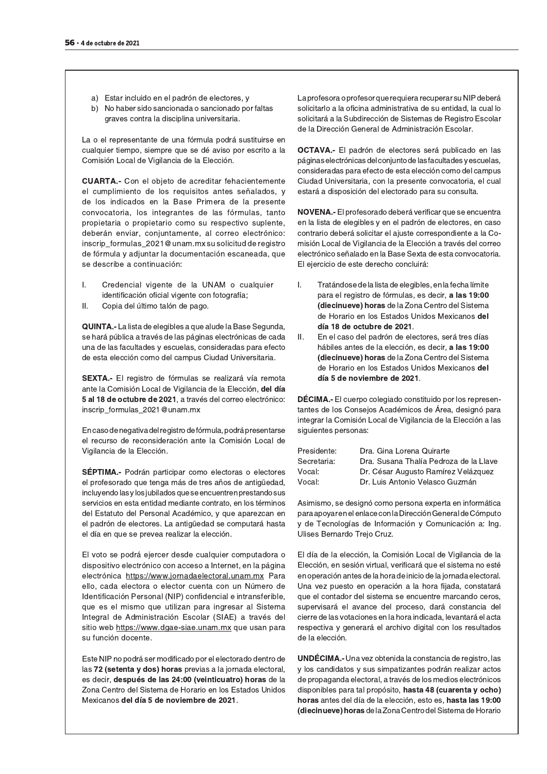- a) Estar incluido en el padrón de electores, y
- b) No haber sido sancionada o sancionado por faltas graves contra la disciplina universitaria.

La o el representante de una fórmula podrá sustituirse en cualquier tiempo, siempre que se dé aviso por escrito a la Comisión Local de Vigilancia de la Elección.

**CUARTA.-** Con el objeto de acreditar fehacientemente el cumplimiento de los requisitos antes señalados, y de los indicados en la Base Primera de la presente convocatoria, los integrantes de las fórmulas, tanto propietaria o propietario como su respectivo suplente, deberán enviar, conjuntamente, al correo electrónico: inscrip\_formulas\_2021@unam.mx su solicitud de registro de fórmula y adjuntar la documentación escaneada, que se describe a continuación:

- Τ. Credencial vigente de la UNAM o cualquier identificación oficial vigente con fotografía;
- Copia del último talón de pago. II.

**QUINTA.-** La lista de elegibles a que alude la Base Segunda, se hará pública a través de las páginas electrónicas de cada una de las facultades y escuelas, consideradas para efecto de esta elección como del campus Ciudad Universitaria.

**SEXTA.-** El registro de fórmulas se realizará vía remota ante la Comisión Local de Vigilancia de la Elección, del día 5 al 18 de octubre de 2021, a través del correo electrónico: inscrip\_formulas\_2021@unam.mx

En caso de negativa del registro de fórmula, podrá presentarse el recurso de reconsideración ante la Comisión Local de Vigilancia de la Elección.

SEPTIMA.- Podrán participar como electoras o electores el profesorado que tenga más de tres años de antigüedad, incluyendo las y los jubilados que se encuentren prestando sus servicios en esta entidad mediante contrato, en los términos del Estatuto del Personal Académico, y que aparezcan en el padrón de electores. La antigüedad se computará hasta el día en que se prevea realizar la elección.

El voto se podrá ejercer desde cualquier computadora o dispositivo electrónico con acceso a Internet, en la página electrónica https://www.jornadaelectoral.unam.mx Para ello, cada electora o elector cuenta con un Número de Identificación Personal (NIP) confidencial e intransferible, que es el mismo que utilizan para ingresar al Sistema Integral de Administración Escolar (SIAE) a través del sitio web https://www.dgae-siae.unam.mx que usan para su función docente.

La profesora o profesor que requiera recuperar su NIP deberá solicitarlo a la oficina administrativa de su entidad, la cual lo solicitará a la Subdirección de Sistemas de Registro Escolar de la Dirección General de Administración Escolar.

**OCTAVA.-** El padrón de electores será publicado en las páginas electrónicas del conjunto de las facultades y escuelas, consideradas para efecto de esta elección como del campus Ciudad Universitaria, con la presente convocatoria, el cual estará a disposición del electorado para su consulta.

NOVENA.- El profesorado deberá verificar que se encuentra en la lista de elegibles y en el padrón de electores, en caso contrario deberá solicitar el ajuste correspondiente a la Comisión Local de Vigilancia de la Elección a través del correo electrónico señalado en la Base Sexta de esta convocatoria. El ejercicio de este derecho concluirá:

- Τ. Tratándose de la lista de elegibles, en la fecha límite para el registro de fórmulas, es decir, a las 19:00 **(diecinueve) horas** de la Zona Centro del Sistema de Horario en los Estados Unidos Mexicanos del día 18 de octubre de 2021.
- Ш. En el caso del padrón de electores, será tres días hábiles antes de la elección, es decir, a las 19:00 (diecinueve) horas de la Zona Centro del Sistema de Horario en los Estados Unidos Mexicanos del día 5 de noviembre de 2021.

**DECIMA.-** El cuerpo colegiado constituido por los representantes de los Consejos Académicos de Área, designó para integrar la Comisión Local de Vigilancia de la Elección a las siguientes personas:

| Presidente: | Dra. Gina Lorena Quirarte              |
|-------------|----------------------------------------|
| Secretaria: | Dra. Susana Thalía Pedroza de la Llave |
| Vocal:      | Dr. César Augusto Ramírez Velázquez    |
| Vocal:      | Dr. Luis Antonio Velasco Guzmán        |

Asimismo, se designó como persona experta en informática para apoyar en el enlace con la Dirección General de Cómputo y de Tecnologías de Información y Comunicación a: Ing. Ulises Bernardo Trejo Cruz.

El día de la elección, la Comisión Local de Vigilancia de la Elección, en sesión virtual, verificará que el sistema no esté en operación antes de la hora de inicio de la jornada electoral. Una vez puesto en operación a la hora fijada, constatará que el contador del sistema se encuentre marcando ceros, supervisará el avance del proceso, dará constancia del cierre de las votaciones en la hora indicada, levantará el acta respectiva y generará el archivo digital con los resultados de la elección.

Este NIP no podrá ser modificado por el electorado dentro de las 72 (setenta y dos) horas previas a la jornada electoral, es decir, después de las 24:00 (veinticuatro) horas de la Zona Centro del Sistema de Horario en los Estados Unidos Mexicanos del día 5 de noviembre de 2021.

**UNDÉCIMA.-** Una vez obtenida la constancia de registro, las y los candidatos y sus simpatizantes podrán realizar actos de propaganda electoral, a través de los medios electrónicos disponibles para tal propósito, hasta 48 (cuarenta y ocho) horas antes del día de la elección, esto es, hasta las 19:00 (diecinueve) horas de la Zona Centro del Sistema de Horario